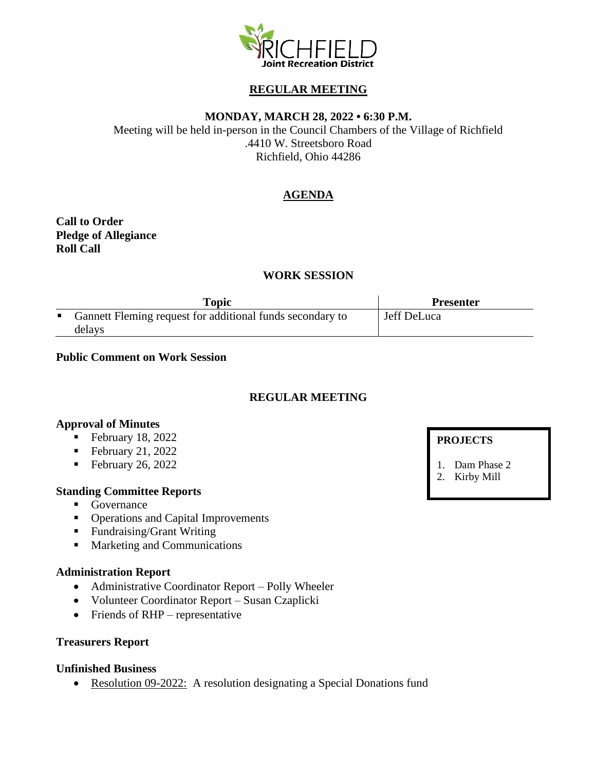

# **REGULAR MEETING**

### **MONDAY, MARCH 28, 2022 • 6:30 P.M.**

Meeting will be held in-person in the Council Chambers of the Village of Richfield .4410 W. Streetsboro Road Richfield, Ohio 44286

# **AGENDA**

**Call to Order Pledge of Allegiance Roll Call**

## **WORK SESSION**

| Topic                                                       | <b>Presenter</b> |
|-------------------------------------------------------------|------------------|
| • Gannett Fleming request for additional funds secondary to | Jeff DeLuca      |
| delays                                                      |                  |

#### **Public Comment on Work Session**

# **REGULAR MEETING**

#### **Approval of Minutes**

- February 18, 2022
- $\blacksquare$  February 21, 2022
- February 26, 2022

#### **Standing Committee Reports**

- Governance
- Operations and Capital Improvements
- Fundraising/Grant Writing
- Marketing and Communications

#### **Administration Report**

- Administrative Coordinator Report Polly Wheeler
- Volunteer Coordinator Report Susan Czaplicki
- Friends of RHP representative

## **Treasurers Report**

#### **Unfinished Business**

• Resolution 09-2022: A resolution designating a Special Donations fund

### **PROJECTS**

1. Dam Phase 2

2. Kirby Mill